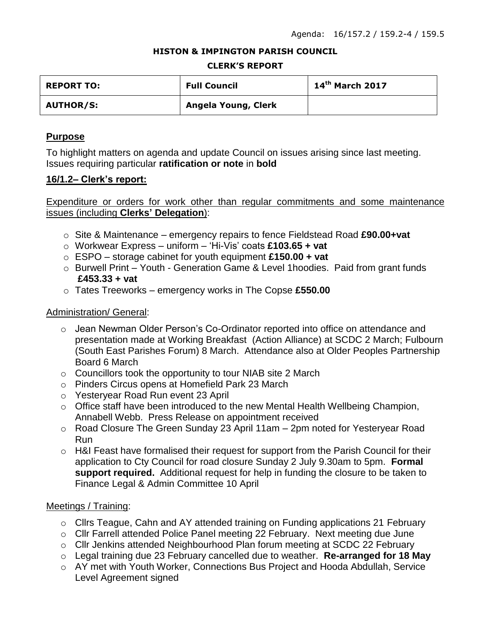### **HISTON & IMPINGTON PARISH COUNCIL**

#### **CLERK'S REPORT**

| <b>REPORT TO:</b> | <b>Full Council</b> | $14th$ March 2017 |
|-------------------|---------------------|-------------------|
| <b>AUTHOR/S:</b>  | Angela Young, Clerk |                   |

## **Purpose**

To highlight matters on agenda and update Council on issues arising since last meeting. Issues requiring particular **ratification or note** in **bold**

## **16/1.2– Clerk's report:**

Expenditure or orders for work other than regular commitments and some maintenance issues (including **Clerks' Delegation**):

- o Site & Maintenance emergency repairs to fence Fieldstead Road **£90.00+vat**
- o Workwear Express uniform 'Hi-Vis' coats **£103.65 + vat**
- o ESPO storage cabinet for youth equipment **£150.00 + vat**
- o Burwell Print Youth Generation Game & Level 1hoodies. Paid from grant funds **£453.33 + vat**
- o Tates Treeworks emergency works in The Copse **£550.00**

## Administration/ General:

- $\circ$  Jean Newman Older Person's Co-Ordinator reported into office on attendance and presentation made at Working Breakfast (Action Alliance) at SCDC 2 March; Fulbourn (South East Parishes Forum) 8 March. Attendance also at Older Peoples Partnership Board 6 March
- $\circ$  Councillors took the opportunity to tour NIAB site 2 March
- o Pinders Circus opens at Homefield Park 23 March
- o Yesteryear Road Run event 23 April
- o Office staff have been introduced to the new Mental Health Wellbeing Champion, Annabell Webb. Press Release on appointment received
- o Road Closure The Green Sunday 23 April 11am 2pm noted for Yesteryear Road Run
- o H&I Feast have formalised their request for support from the Parish Council for their application to Cty Council for road closure Sunday 2 July 9.30am to 5pm. **Formal support required.** Additional request for help in funding the closure to be taken to Finance Legal & Admin Committee 10 April

## Meetings / Training:

- o Cllrs Teague, Cahn and AY attended training on Funding applications 21 February
- o Cllr Farrell attended Police Panel meeting 22 February. Next meeting due June
- o Cllr Jenkins attended Neighbourhood Plan forum meeting at SCDC 22 February
- o Legal training due 23 February cancelled due to weather. **Re-arranged for 18 May**
- o AY met with Youth Worker, Connections Bus Project and Hooda Abdullah, Service Level Agreement signed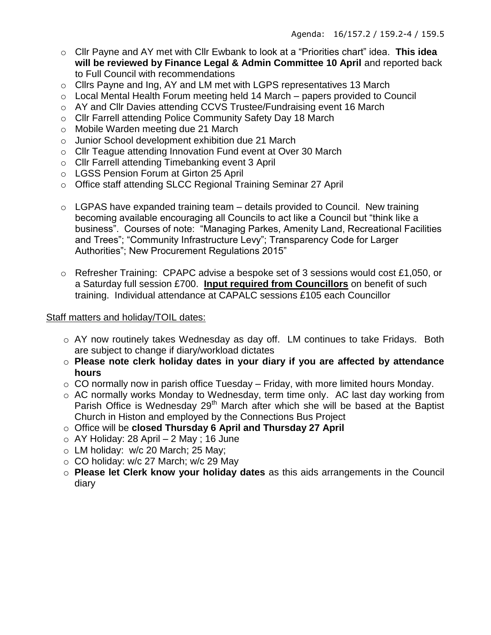- o Cllr Payne and AY met with Cllr Ewbank to look at a "Priorities chart" idea. **This idea will be reviewed by Finance Legal & Admin Committee 10 April** and reported back to Full Council with recommendations
- o Cllrs Payne and Ing, AY and LM met with LGPS representatives 13 March
- o Local Mental Health Forum meeting held 14 March papers provided to Council
- o AY and Cllr Davies attending CCVS Trustee/Fundraising event 16 March
- o Cllr Farrell attending Police Community Safety Day 18 March
- o Mobile Warden meeting due 21 March
- o Junior School development exhibition due 21 March
- o Cllr Teague attending Innovation Fund event at Over 30 March
- o Cllr Farrell attending Timebanking event 3 April
- o LGSS Pension Forum at Girton 25 April
- o Office staff attending SLCC Regional Training Seminar 27 April
- $\circ$  LGPAS have expanded training team details provided to Council. New training becoming available encouraging all Councils to act like a Council but "think like a business". Courses of note: "Managing Parkes, Amenity Land, Recreational Facilities and Trees"; "Community Infrastructure Levy"; Transparency Code for Larger Authorities"; New Procurement Regulations 2015"
- o Refresher Training: CPAPC advise a bespoke set of 3 sessions would cost £1,050, or a Saturday full session £700. **Input required from Councillors** on benefit of such training. Individual attendance at CAPALC sessions £105 each Councillor

# Staff matters and holiday/TOIL dates:

- o AY now routinely takes Wednesday as day off. LM continues to take Fridays. Both are subject to change if diary/workload dictates
- o **Please note clerk holiday dates in your diary if you are affected by attendance hours**
- $\circ$  CO normally now in parish office Tuesday Friday, with more limited hours Monday.
- o AC normally works Monday to Wednesday, term time only. AC last day working from Parish Office is Wednesday 29<sup>th</sup> March after which she will be based at the Baptist Church in Histon and employed by the Connections Bus Project
- o Office will be **closed Thursday 6 April and Thursday 27 April**
- $\circ$  AY Holiday: 28 April 2 May; 16 June
- o LM holiday: w/c 20 March; 25 May;
- o CO holiday: w/c 27 March; w/c 29 May
- o **Please let Clerk know your holiday dates** as this aids arrangements in the Council diary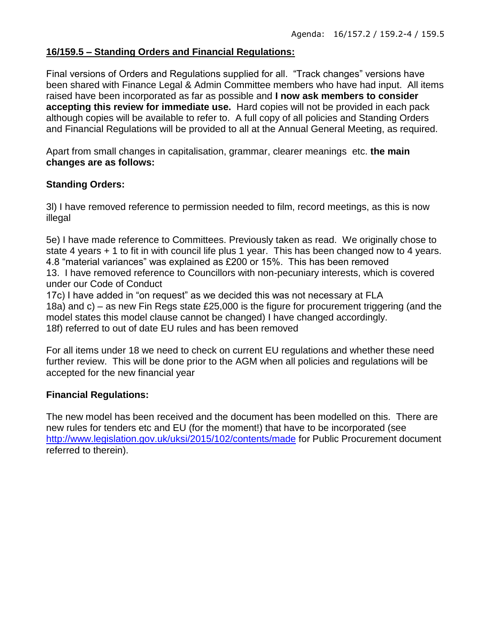# **16/159.5 – Standing Orders and Financial Regulations:**

Final versions of Orders and Regulations supplied for all. "Track changes" versions have been shared with Finance Legal & Admin Committee members who have had input. All items raised have been incorporated as far as possible and **I now ask members to consider accepting this review for immediate use.** Hard copies will not be provided in each pack although copies will be available to refer to. A full copy of all policies and Standing Orders and Financial Regulations will be provided to all at the Annual General Meeting, as required.

Apart from small changes in capitalisation, grammar, clearer meanings etc. **the main changes are as follows:**

# **Standing Orders:**

3l) I have removed reference to permission needed to film, record meetings, as this is now illegal

5e) I have made reference to Committees. Previously taken as read. We originally chose to state 4 years + 1 to fit in with council life plus 1 year. This has been changed now to 4 years. 4.8 "material variances" was explained as £200 or 15%. This has been removed 13. I have removed reference to Councillors with non-pecuniary interests, which is covered

under our Code of Conduct

17c) I have added in "on request" as we decided this was not necessary at FLA 18a) and c) – as new Fin Regs state £25,000 is the figure for procurement triggering (and the model states this model clause cannot be changed) I have changed accordingly. 18f) referred to out of date EU rules and has been removed

For all items under 18 we need to check on current EU regulations and whether these need further review. This will be done prior to the AGM when all policies and regulations will be accepted for the new financial year

# **Financial Regulations:**

The new model has been received and the document has been modelled on this. There are new rules for tenders etc and EU (for the moment!) that have to be incorporated (see <http://www.legislation.gov.uk/uksi/2015/102/contents/made> for Public Procurement document referred to therein).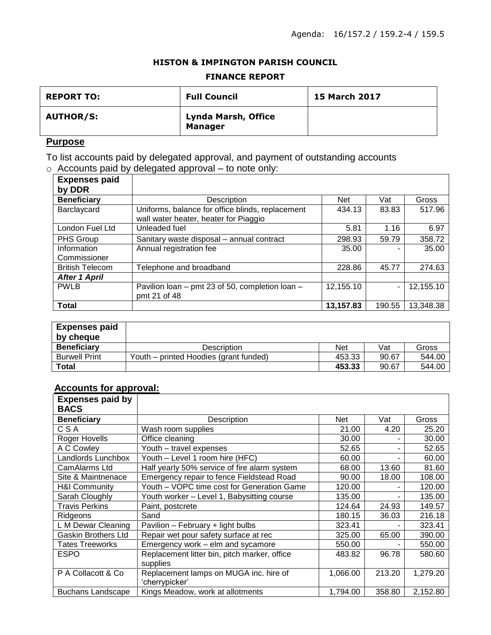## **HISTON & IMPINGTON PARISH COUNCIL**

### **FINANCE REPORT**

| <b>REPORT TO:</b> | <b>Full Council</b>                   | <b>15 March 2017</b> |
|-------------------|---------------------------------------|----------------------|
| <b>AUTHOR/S:</b>  | Lynda Marsh, Office<br><b>Manager</b> |                      |

# **Purpose**

To list accounts paid by delegated approval, and payment of outstanding accounts  $\circ$  Accounts paid by delegated approval – to note only:

| <b>Expenses paid</b><br>by DDR |                                                                                           |            |        |           |
|--------------------------------|-------------------------------------------------------------------------------------------|------------|--------|-----------|
| <b>Beneficiary</b>             | Description                                                                               | <b>Net</b> | Vat    | Gross     |
| Barclaycard                    | Uniforms, balance for office blinds, replacement<br>wall water heater, heater for Piaggio | 434.13     | 83.83  | 517.96    |
| London Fuel Ltd                | Unleaded fuel                                                                             | 5.81       | 1.16   | 6.97      |
| PHS Group                      | Sanitary waste disposal - annual contract                                                 | 298.93     | 59.79  | 358.72    |
| Information<br>Commissioner    | Annual registration fee                                                                   | 35.00      |        | 35.00     |
| <b>British Telecom</b>         | Felephone and broadband                                                                   | 228.86     | 45.77  | 274.63    |
| <b>After 1 April</b>           |                                                                                           |            |        |           |
| <b>PWLB</b>                    | Pavilion Ioan - pmt 23 of 50, completion Ioan -<br>pmt 21 of 48                           | 12,155.10  | ٠      | 12,155.10 |
| <b>Total</b>                   |                                                                                           | 13,157.83  | 190.55 | 13,348.38 |

| <b>Expenses paid</b><br>by cheque |                                        |        |       |        |
|-----------------------------------|----------------------------------------|--------|-------|--------|
| <b>Beneficiary</b>                | Description                            | Net    | Vat   | Gross  |
| <b>Burwell Print</b>              | Youth – printed Hoodies (grant funded) | 453.33 | 90.67 | 544.00 |
| Total                             |                                        | 453.33 | 90.67 | 544.00 |

### **Accounts for approval:**

| <b>Expenses paid by</b><br><b>BACS</b> |                                              |            |        |          |
|----------------------------------------|----------------------------------------------|------------|--------|----------|
| <b>Beneficiary</b>                     | Description                                  | <b>Net</b> | Vat    | Gross    |
| CSA                                    | Wash room supplies                           | 21.00      | 4.20   | 25.20    |
| Roger Hovells                          | Office cleaning                              | 30.00      |        | 30.00    |
| A C Cowley                             | Youth - travel expenses                      | 52.65      |        | 52.65    |
| Landlords Lunchbox                     | Youth - Level 1 room hire (HFC)              | 60.00      |        | 60.00    |
| CamAlarms Ltd                          | Half yearly 50% service of fire alarm system | 68.00      | 13.60  | 81.60    |
| Site & Maintnenace                     | Emergency repair to fence Fieldstead Road    | 90.00      | 18.00  | 108.00   |
| <b>H&amp;I Community</b>               | Youth - VOPC time cost for Generation Game   | 120.00     |        | 120.00   |
| Sarah Cloughly                         | Youth worker - Level 1, Babysitting course   | 135.00     |        | 135.00   |
| <b>Travis Perkins</b>                  | Paint, postcrete                             | 124.64     | 24.93  | 149.57   |
| Ridgeons                               | Sand                                         | 180.15     | 36.03  | 216.18   |
| L M Dewar Cleaning                     | Pavilion - February + light bulbs            | 323.41     |        | 323.41   |
| <b>Gaskin Brothers Ltd</b>             | Repair wet pour safety surface at rec        | 325.00     | 65.00  | 390.00   |
| <b>Tates Treeworks</b>                 | Emergency work – elm and sycamore            | 550.00     |        | 550.00   |
| <b>ESPO</b>                            | Replacement litter bin, pitch marker, office | 483.82     | 96.78  | 580.60   |
|                                        | supplies                                     |            |        |          |
| P A Collacott & Co                     | Replacement lamps on MUGA inc. hire of       | 1,066.00   | 213.20 | 1,279.20 |
|                                        | 'cherrypicker'                               |            |        |          |
| <b>Buchans Landscape</b>               | Kings Meadow, work at allotments             | 1,794.00   | 358.80 | 2,152.80 |